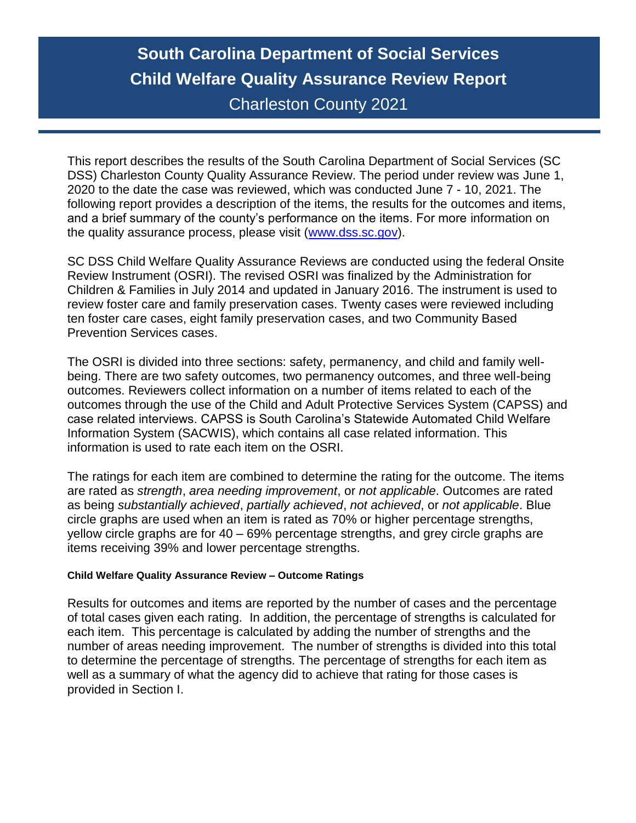# **South Carolina Department of Social Services Child Welfare Quality Assurance Review Report** Charleston County 2021

This report describes the results of the South Carolina Department of Social Services (SC DSS) Charleston County Quality Assurance Review. The period under review was June 1, 2020 to the date the case was reviewed, which was conducted June 7 - 10, 2021. The following report provides a description of the items, the results for the outcomes and items, and a brief summary of the county's performance on the items. For more information on the quality assurance process, please visit [\(www.dss.sc.gov\)](http://www.dss.sc.gov/).

SC DSS Child Welfare Quality Assurance Reviews are conducted using the federal Onsite Review Instrument (OSRI). The revised OSRI was finalized by the Administration for Children & Families in July 2014 and updated in January 2016. The instrument is used to review foster care and family preservation cases. Twenty cases were reviewed including ten foster care cases, eight family preservation cases, and two Community Based Prevention Services cases.

The OSRI is divided into three sections: safety, permanency, and child and family wellbeing. There are two safety outcomes, two permanency outcomes, and three well-being outcomes. Reviewers collect information on a number of items related to each of the outcomes through the use of the Child and Adult Protective Services System (CAPSS) and case related interviews. CAPSS is South Carolina's Statewide Automated Child Welfare Information System (SACWIS), which contains all case related information. This information is used to rate each item on the OSRI.

The ratings for each item are combined to determine the rating for the outcome. The items are rated as *strength*, *area needing improvement*, or *not applicable*. Outcomes are rated as being *substantially achieved*, *partially achieved*, *not achieved*, or *not applicable*. Blue circle graphs are used when an item is rated as 70% or higher percentage strengths, yellow circle graphs are for 40 – 69% percentage strengths, and grey circle graphs are items receiving 39% and lower percentage strengths.

#### **Child Welfare Quality Assurance Review – Outcome Ratings**

Results for outcomes and items are reported by the number of cases and the percentage of total cases given each rating. In addition, the percentage of strengths is calculated for each item. This percentage is calculated by adding the number of strengths and the number of areas needing improvement. The number of strengths is divided into this total to determine the percentage of strengths. The percentage of strengths for each item as well as a summary of what the agency did to achieve that rating for those cases is provided in Section I.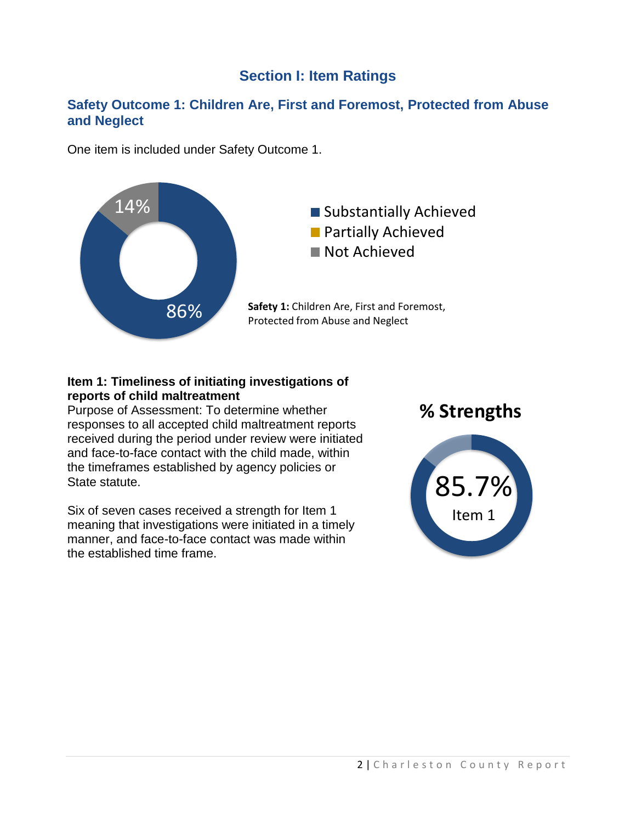# **Section I: Item Ratings**

### **Safety Outcome 1: Children Are, First and Foremost, Protected from Abuse and Neglect**

One item is included under Safety Outcome 1.



#### **Item 1: Timeliness of initiating investigations of reports of child maltreatment**

Purpose of Assessment: To determine whether responses to all accepted child maltreatment reports received during the period under review were initiated and face-to-face contact with the child made, within the timeframes established by agency policies or State statute.

Six of seven cases received a strength for Item 1 meaning that investigations were initiated in a timely manner, and face-to-face contact was made within the established time frame.



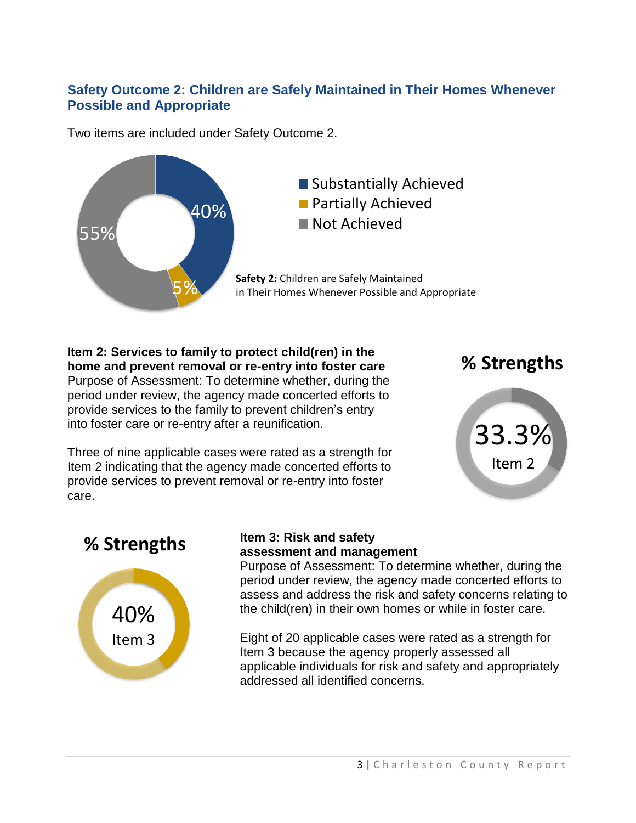# **Safety Outcome 2: Children are Safely Maintained in Their Homes Whenever Possible and Appropriate**

Two items are included under Safety Outcome 2.



**Item 2: Services to family to protect child(ren) in the home and prevent removal or re-entry into foster care** Purpose of Assessment: To determine whether, during the period under review, the agency made concerted efforts to provide services to the family to prevent children's entry into foster care or re-entry after a reunification.

Three of nine applicable cases were rated as a strength for Item 2 indicating that the agency made concerted efforts to provide services to prevent removal or re-entry into foster care.







### **Item 3: Risk and safety assessment and management**

Purpose of Assessment: To determine whether, during the period under review, the agency made concerted efforts to assess and address the risk and safety concerns relating to the child(ren) in their own homes or while in foster care.

Eight of 20 applicable cases were rated as a strength for Item 3 because the agency properly assessed all applicable individuals for risk and safety and appropriately addressed all identified concerns.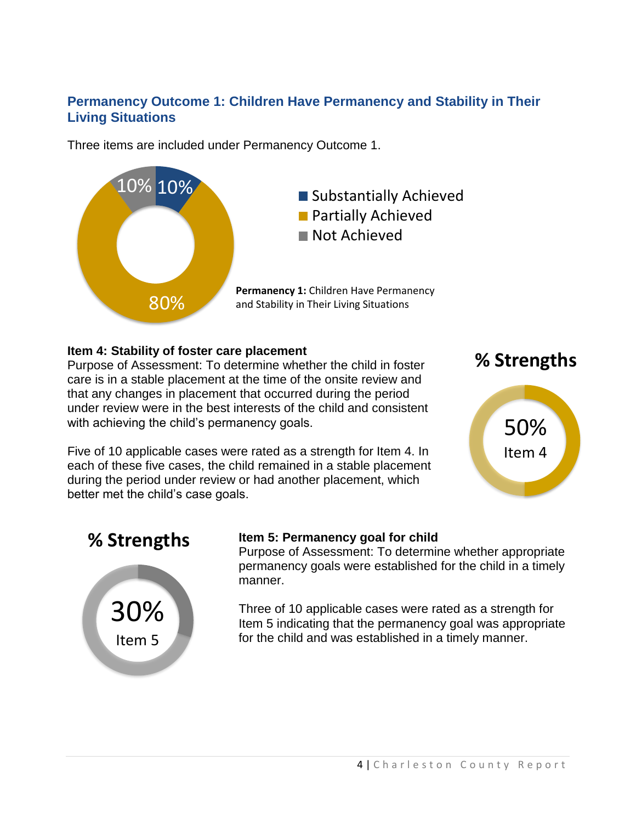# **Permanency Outcome 1: Children Have Permanency and Stability in Their Living Situations**

Three items are included under Permanency Outcome 1.



### **Item 4: Stability of foster care placement**

Purpose of Assessment: To determine whether the child in foster care is in a stable placement at the time of the onsite review and that any changes in placement that occurred during the period under review were in the best interests of the child and consistent with achieving the child's permanency goals.

Five of 10 applicable cases were rated as a strength for Item 4. In each of these five cases, the child remained in a stable placement during the period under review or had another placement, which better met the child's case goals.





# **% Strengths**



### **Item 5: Permanency goal for child**

Purpose of Assessment: To determine whether appropriate permanency goals were established for the child in a timely manner.

Three of 10 applicable cases were rated as a strength for Item 5 indicating that the permanency goal was appropriate for the child and was established in a timely manner.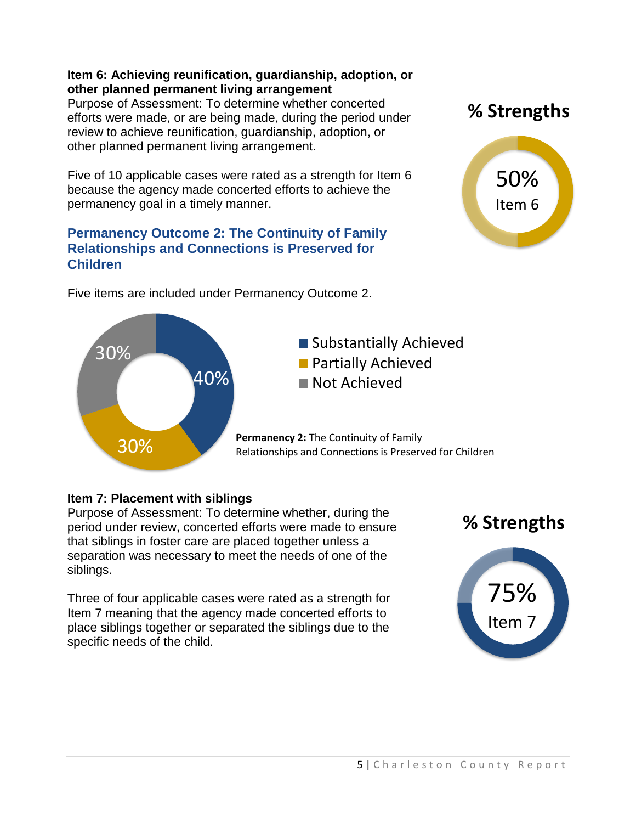### **Item 6: Achieving reunification, guardianship, adoption, or other planned permanent living arrangement**

Purpose of Assessment: To determine whether concerted efforts were made, or are being made, during the period under review to achieve reunification, guardianship, adoption, or other planned permanent living arrangement.

Five of 10 applicable cases were rated as a strength for Item 6 because the agency made concerted efforts to achieve the permanency goal in a timely manner.

### **Permanency Outcome 2: The Continuity of Family Relationships and Connections is Preserved for Children**

Five items are included under Permanency Outcome 2.

50% Item 6

**% Strengths**



# **Item 7: Placement with siblings**

Purpose of Assessment: To determine whether, during the period under review, concerted efforts were made to ensure that siblings in foster care are placed together unless a separation was necessary to meet the needs of one of the siblings.

Three of four applicable cases were rated as a strength for Item 7 meaning that the agency made concerted efforts to place siblings together or separated the siblings due to the specific needs of the child.



# ■ Substantially Achieved **Partially Achieved**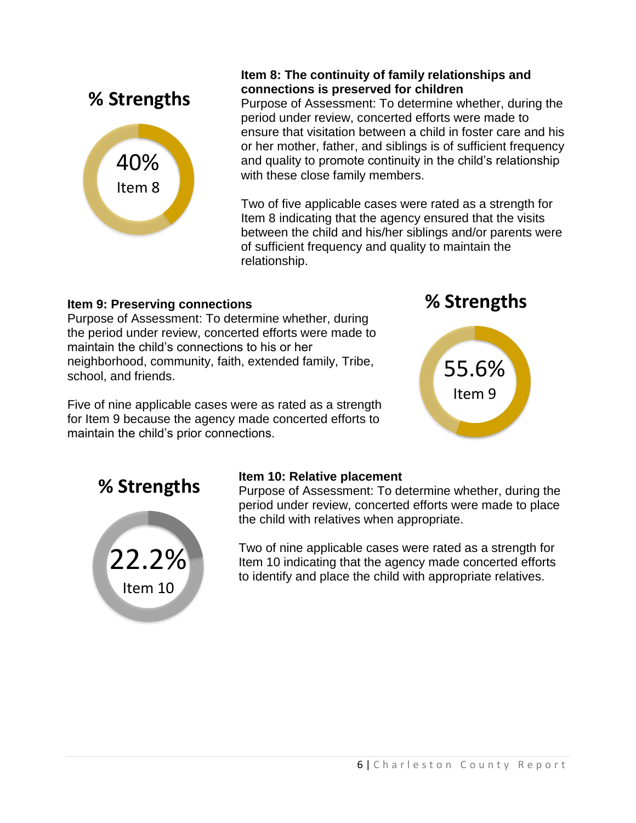

### **Item 8: The continuity of family relationships and connections is preserved for children**

Purpose of Assessment: To determine whether, during the period under review, concerted efforts were made to ensure that visitation between a child in foster care and his or her mother, father, and siblings is of sufficient frequency and quality to promote continuity in the child's relationship with these close family members.

Two of five applicable cases were rated as a strength for Item 8 indicating that the agency ensured that the visits between the child and his/her siblings and/or parents were of sufficient frequency and quality to maintain the relationship.

# **Item 9: Preserving connections**

Purpose of Assessment: To determine whether, during the period under review, concerted efforts were made to maintain the child's connections to his or her neighborhood, community, faith, extended family, Tribe, school, and friends.

Five of nine applicable cases were as rated as a strength for Item 9 because the agency made concerted efforts to maintain the child's prior connections.





# **% Strengths**



### **Item 10: Relative placement**

Purpose of Assessment: To determine whether, during the period under review, concerted efforts were made to place the child with relatives when appropriate.

Two of nine applicable cases were rated as a strength for Item 10 indicating that the agency made concerted efforts to identify and place the child with appropriate relatives.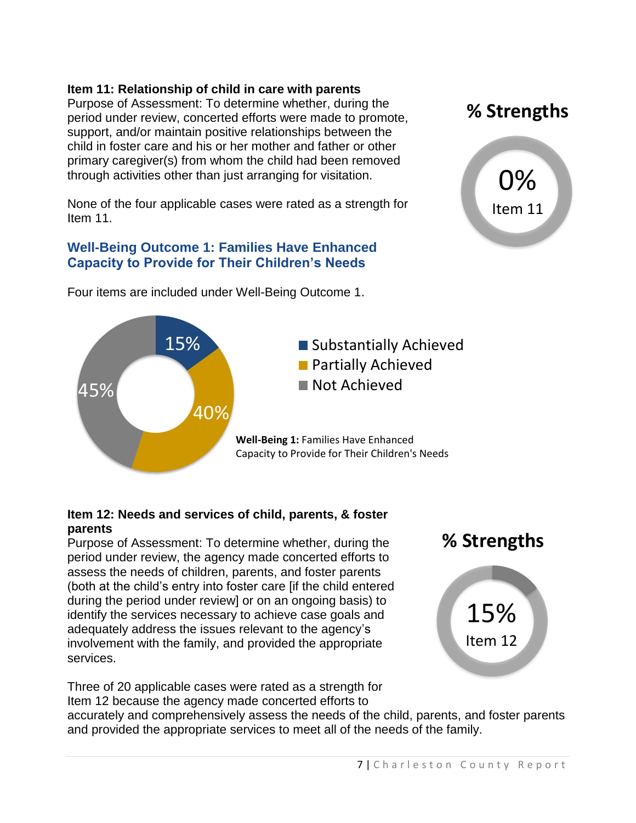### **Item 11: Relationship of child in care with parents**

Purpose of Assessment: To determine whether, during the period under review, concerted efforts were made to promote, support, and/or maintain positive relationships between the child in foster care and his or her mother and father or other primary caregiver(s) from whom the child had been removed through activities other than just arranging for visitation.

None of the four applicable cases were rated as a strength for Item 11.

### **Well-Being Outcome 1: Families Have Enhanced Capacity to Provide for Their Children's Needs**



Four items are included under Well-Being Outcome 1.

#### **Item 12: Needs and services of child, parents, & foster parents**

Purpose of Assessment: To determine whether, during the period under review, the agency made concerted efforts to assess the needs of children, parents, and foster parents (both at the child's entry into foster care [if the child entered during the period under review] or on an ongoing basis) to identify the services necessary to achieve case goals and adequately address the issues relevant to the agency's involvement with the family, and provided the appropriate services.

Three of 20 applicable cases were rated as a strength for Item 12 because the agency made concerted efforts to



Item 12

accurately and comprehensively assess the needs of the child, parents, and foster parents and provided the appropriate services to meet all of the needs of the family.



**% Strengths**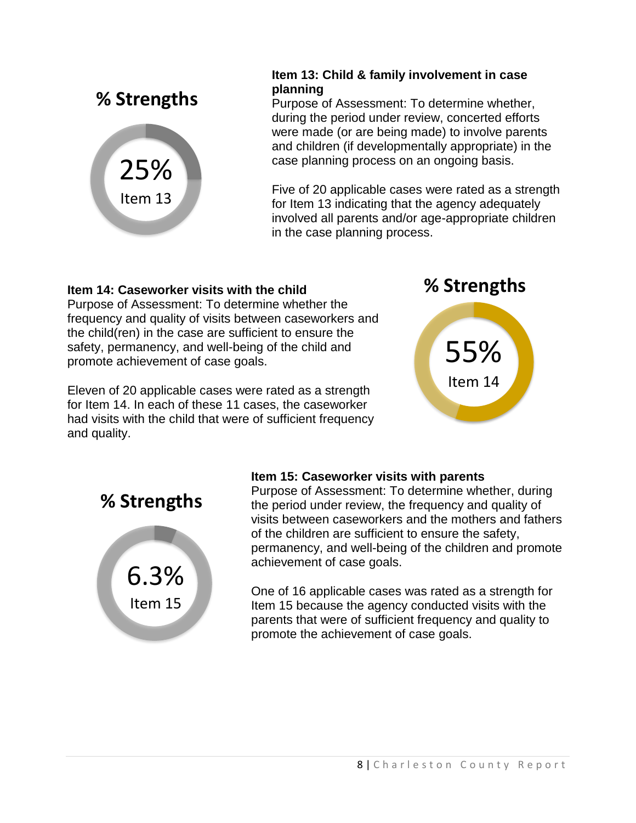

### **Item 13: Child & family involvement in case planning**

Purpose of Assessment: To determine whether, during the period under review, concerted efforts were made (or are being made) to involve parents and children (if developmentally appropriate) in the case planning process on an ongoing basis.

Five of 20 applicable cases were rated as a strength for Item 13 indicating that the agency adequately involved all parents and/or age-appropriate children in the case planning process.

### **Item 14: Caseworker visits with the child**

Purpose of Assessment: To determine whether the frequency and quality of visits between caseworkers and the child(ren) in the case are sufficient to ensure the safety, permanency, and well-being of the child and promote achievement of case goals.

Eleven of 20 applicable cases were rated as a strength for Item 14. In each of these 11 cases, the caseworker had visits with the child that were of sufficient frequency and quality.





**% Strengths**



# **Item 15: Caseworker visits with parents**

Purpose of Assessment: To determine whether, during the period under review, the frequency and quality of visits between caseworkers and the mothers and fathers of the children are sufficient to ensure the safety, permanency, and well-being of the children and promote achievement of case goals.

One of 16 applicable cases was rated as a strength for Item 15 because the agency conducted visits with the parents that were of sufficient frequency and quality to promote the achievement of case goals.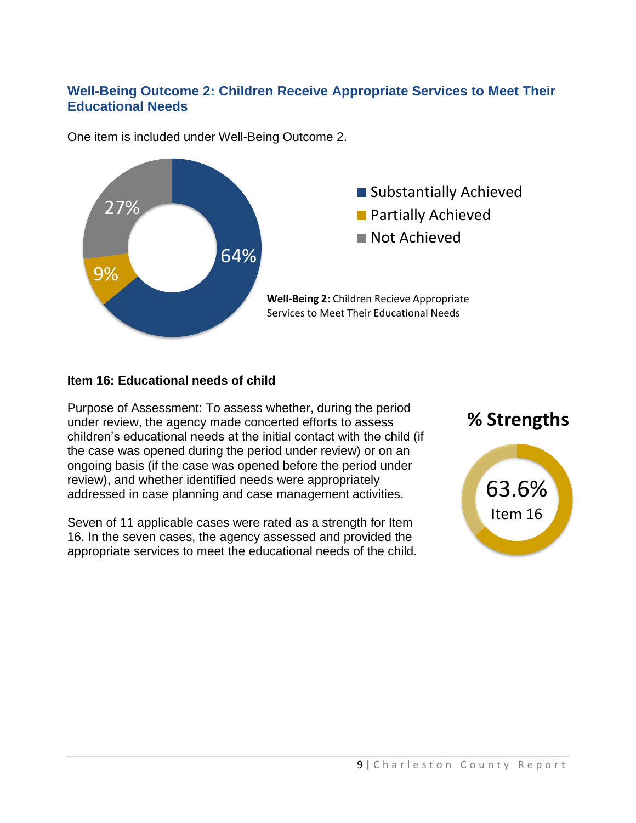# **Well-Being Outcome 2: Children Receive Appropriate Services to Meet Their Educational Needs**



One item is included under Well-Being Outcome 2.

#### **Item 16: Educational needs of child**

Purpose of Assessment: To assess whether, during the period under review, the agency made concerted efforts to assess children's educational needs at the initial contact with the child (if the case was opened during the period under review) or on an ongoing basis (if the case was opened before the period under review), and whether identified needs were appropriately addressed in case planning and case management activities.

Seven of 11 applicable cases were rated as a strength for Item 16. In the seven cases, the agency assessed and provided the appropriate services to meet the educational needs of the child.

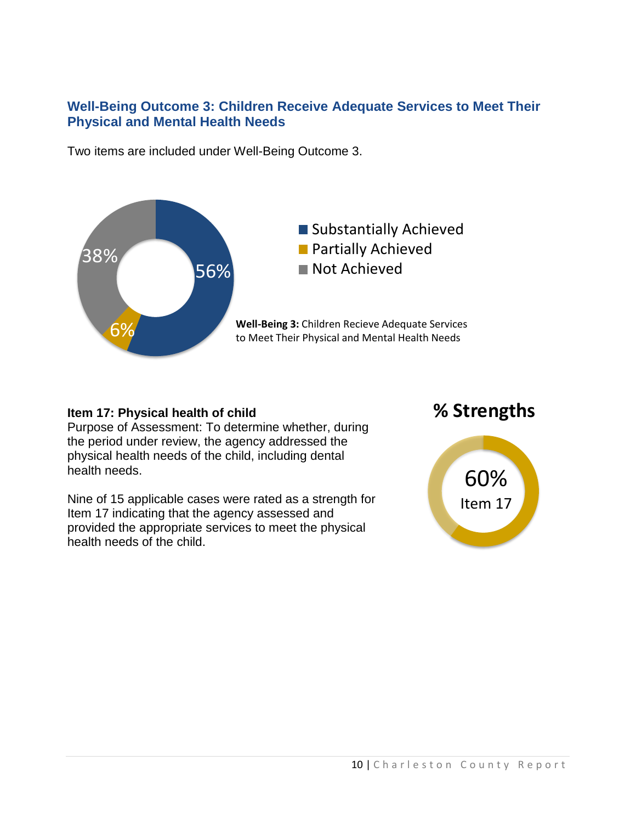### **Well-Being Outcome 3: Children Receive Adequate Services to Meet Their Physical and Mental Health Needs**

Two items are included under Well-Being Outcome 3.



### **Item 17: Physical health of child**

Purpose of Assessment: To determine whether, during the period under review, the agency addressed the physical health needs of the child, including dental health needs.

Nine of 15 applicable cases were rated as a strength for Item 17 indicating that the agency assessed and provided the appropriate services to meet the physical health needs of the child.

# **% Strengths**